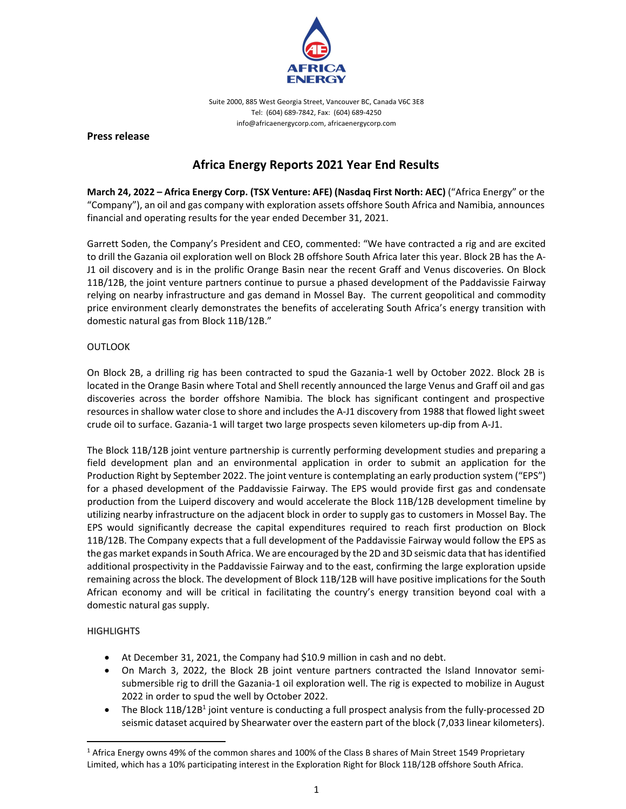

Suite 2000, 885 West Georgia Street, Vancouver BC, Canada V6C 3E8 Tel: (604) 689‐7842, Fax: (604) 689‐4250 info@africaenergycorp.com, africaenergycorp.com

**Press release**

# **Africa Energy Reports 2021 Year End Results**

**March 24, 2022 – Africa Energy Corp. (TSX Venture: AFE) (Nasdaq First North: AEC)** ("Africa Energy" or the "Company"), an oil and gas company with exploration assets offshore South Africa and Namibia, announces financial and operating results for the year ended December 31, 2021.

Garrett Soden, the Company's President and CEO, commented: "We have contracted a rig and are excited to drill the Gazania oil exploration well on Block 2B offshore South Africa later this year. Block 2B has the A‐ J1 oil discovery and is in the prolific Orange Basin near the recent Graff and Venus discoveries. On Block 11B/12B, the joint venture partners continue to pursue a phased development of the Paddavissie Fairway relying on nearby infrastructure and gas demand in Mossel Bay. The current geopolitical and commodity price environment clearly demonstrates the benefits of accelerating South Africa's energy transition with domestic natural gas from Block 11B/12B."

# **OUTLOOK**

On Block 2B, a drilling rig has been contracted to spud the Gazania-1 well by October 2022. Block 2B is located in the Orange Basin where Total and Shell recently announced the large Venus and Graff oil and gas discoveries across the border offshore Namibia. The block has significant contingent and prospective resources in shallow water close to shore and includes the A-J1 discovery from 1988 that flowed light sweet crude oil to surface. Gazania‐1 will target two large prospects seven kilometers up‐dip from A‐J1.

The Block 11B/12B joint venture partnership is currently performing development studies and preparing a field development plan and an environmental application in order to submit an application for the Production Right by September 2022. The joint venture is contemplating an early production system ("EPS") for a phased development of the Paddavissie Fairway. The EPS would provide first gas and condensate production from the Luiperd discovery and would accelerate the Block 11B/12B development timeline by utilizing nearby infrastructure on the adjacent block in order to supply gas to customers in Mossel Bay. The EPS would significantly decrease the capital expenditures required to reach first production on Block 11B/12B. The Company expects that a full development of the Paddavissie Fairway would follow the EPS as the gas market expands in South Africa. We are encouraged by the 2D and 3D seismic data that has identified additional prospectivity in the Paddavissie Fairway and to the east, confirming the large exploration upside remaining across the block. The development of Block 11B/12B will have positive implications for the South African economy and will be critical in facilitating the country's energy transition beyond coal with a domestic natural gas supply.

# **HIGHLIGHTS**

- At December 31, 2021, the Company had \$10.9 million in cash and no debt.
- On March 3, 2022, the Block 2B joint venture partners contracted the Island Innovator semi‐ submersible rig to drill the Gazania‐1 oil exploration well. The rig is expected to mobilize in August 2022 in order to spud the well by October 2022.
- The Block 11B/12B<sup>1</sup> joint venture is conducting a full prospect analysis from the fully-processed 2D seismic dataset acquired by Shearwater over the eastern part of the block (7,033 linear kilometers).

<sup>&</sup>lt;sup>1</sup> Africa Energy owns 49% of the common shares and 100% of the Class B shares of Main Street 1549 Proprietary Limited, which has a 10% participating interest in the Exploration Right for Block 11B/12B offshore South Africa.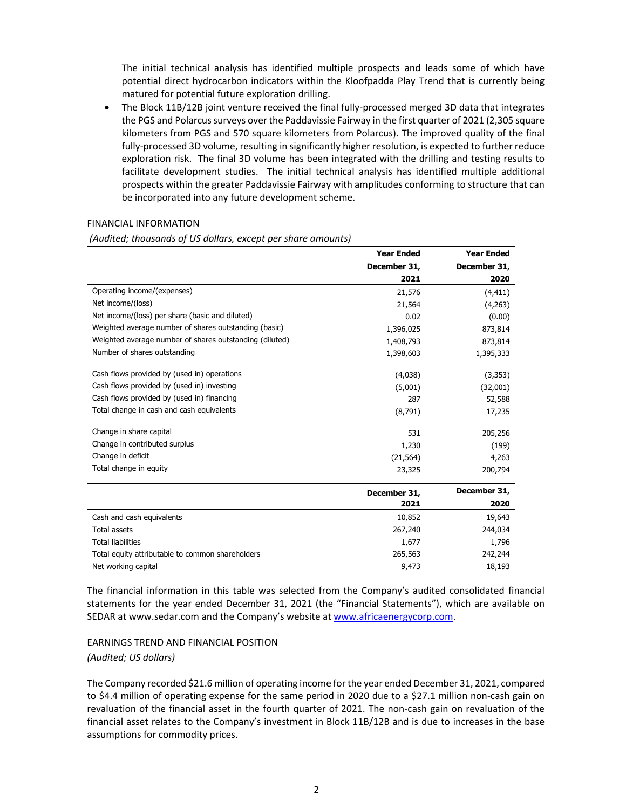The initial technical analysis has identified multiple prospects and leads some of which have potential direct hydrocarbon indicators within the Kloofpadda Play Trend that is currently being matured for potential future exploration drilling.

● The Block 11B/12B joint venture received the final fully-processed merged 3D data that integrates the PGS and Polarcus surveys over the Paddavissie Fairway in the first quarter of 2021 (2,305 square kilometers from PGS and 570 square kilometers from Polarcus). The improved quality of the final fully‐processed 3D volume, resulting in significantly higher resolution, is expected to further reduce exploration risk. The final 3D volume has been integrated with the drilling and testing results to facilitate development studies. The initial technical analysis has identified multiple additional prospects within the greater Paddavissie Fairway with amplitudes conforming to structure that can be incorporated into any future development scheme.

#### FINANCIAL INFORMATION

*(Audited; thousands of US dollars, except per share amounts)*

|                                                         | <b>Year Ended</b> | <b>Year Ended</b> |
|---------------------------------------------------------|-------------------|-------------------|
|                                                         | December 31,      | December 31,      |
|                                                         | 2021              | 2020              |
| Operating income/(expenses)                             | 21,576            | (4, 411)          |
| Net income/(loss)                                       | 21,564            | (4,263)           |
| Net income/(loss) per share (basic and diluted)         | 0.02              | (0.00)            |
| Weighted average number of shares outstanding (basic)   | 1,396,025         | 873,814           |
| Weighted average number of shares outstanding (diluted) | 1,408,793         | 873,814           |
| Number of shares outstanding                            | 1,398,603         | 1,395,333         |
| Cash flows provided by (used in) operations             | (4,038)           | (3, 353)          |
| Cash flows provided by (used in) investing              | (5,001)           | (32,001)          |
| Cash flows provided by (used in) financing              | 287               | 52,588            |
| Total change in cash and cash equivalents               | (8,791)           | 17,235            |
| Change in share capital                                 | 531               | 205,256           |
| Change in contributed surplus                           | 1,230             | (199)             |
| Change in deficit                                       | (21, 564)         | 4,263             |
| Total change in equity                                  | 23,325            | 200,794           |
|                                                         | December 31,      | December 31,      |
|                                                         | 2021              | 2020              |
| Cash and cash equivalents                               | 10,852            | 19,643            |
| Total assets                                            | 267,240           | 244,034           |
| <b>Total liabilities</b>                                | 1,677             | 1,796             |
| Total equity attributable to common shareholders        | 265,563           | 242,244           |
| Net working capital                                     | 9,473             | 18,193            |

The financial information in this table was selected from the Company's audited consolidated financial statements for the year ended December 31, 2021 (the "Financial Statements"), which are available on SEDAR at www.sedar.com and the Company's website at www.africaenergycorp.com.

EARNINGS TREND AND FINANCIAL POSITION *(Audited; US dollars)*

The Company recorded \$21.6 million of operating income forthe year ended December 31, 2021, compared to \$4.4 million of operating expense for the same period in 2020 due to a \$27.1 million non-cash gain on revaluation of the financial asset in the fourth quarter of 2021. The non‐cash gain on revaluation of the financial asset relates to the Company's investment in Block 11B/12B and is due to increases in the base assumptions for commodity prices.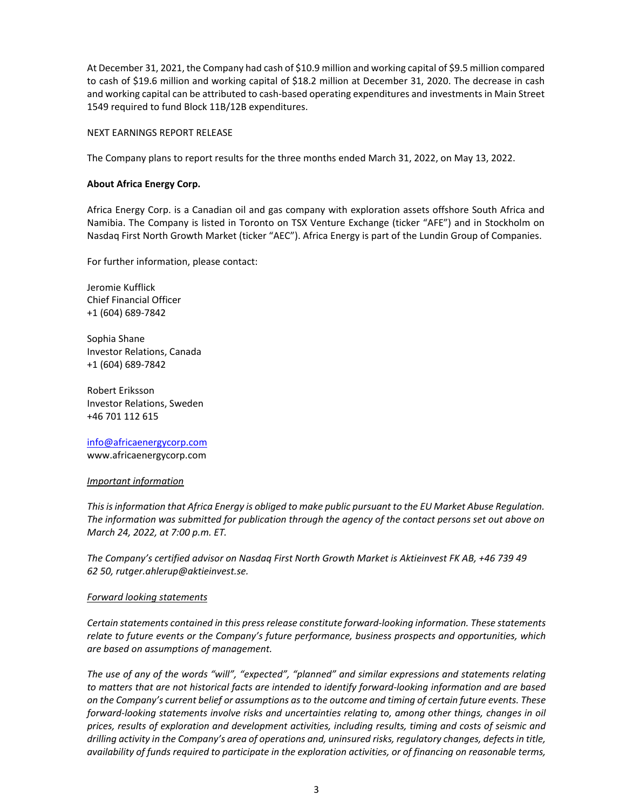At December 31, 2021, the Company had cash of \$10.9 million and working capital of \$9.5 million compared to cash of \$19.6 million and working capital of \$18.2 million at December 31, 2020. The decrease in cash and working capital can be attributed to cash-based operating expenditures and investments in Main Street 1549 required to fund Block 11B/12B expenditures.

## NEXT EARNINGS REPORT RELEASE

The Company plans to report results for the three months ended March 31, 2022, on May 13, 2022.

## **About Africa Energy Corp.**

Africa Energy Corp. is a Canadian oil and gas company with exploration assets offshore South Africa and Namibia. The Company is listed in Toronto on TSX Venture Exchange (ticker "AFE") and in Stockholm on Nasdaq First North Growth Market (ticker "AEC"). Africa Energy is part of the Lundin Group of Companies.

For further information, please contact:

Jeromie Kufflick Chief Financial Officer +1 (604) 689‐7842

Sophia Shane Investor Relations, Canada +1 (604) 689‐7842

Robert Eriksson Investor Relations, Sweden +46 701 112 615

info@africaenergycorp.com www.africaenergycorp.com

#### *Important information*

*Thisisinformation that Africa Energy is obliged to make public pursuant to the EU Market Abuse Regulation. The information was submitted for publication through the agency of the contact persons set out above on March 24, 2022, at 7:00 p.m. ET.*

*The Company's certified advisor on Nasdaq First North Growth Market is Aktieinvest FK AB, +46 739 49 62 50, rutger.ahlerup@aktieinvest.se.* 

#### *Forward looking statements*

*Certain statements contained in this pressrelease constitute forward‐looking information. These statements relate to future events or the Company's future performance, business prospects and opportunities, which are based on assumptions of management.*

*The use of any of the words "will", "expected", "planned" and similar expressions and statements relating* to matters that are not historical facts are intended to identify forward-looking information and are based on the Company's current belief or assumptions as to the outcome and timing of certain future events. These *forward‐looking statements involve risks and uncertainties relating to, among other things, changes in oil prices, results of exploration and development activities, including results, timing and costs of seismic and drilling activity in the Company's area of operations and, uninsured risks, regulatory changes, defectsin title,* availability of funds required to participate in the exploration activities, or of financing on reasonable terms,